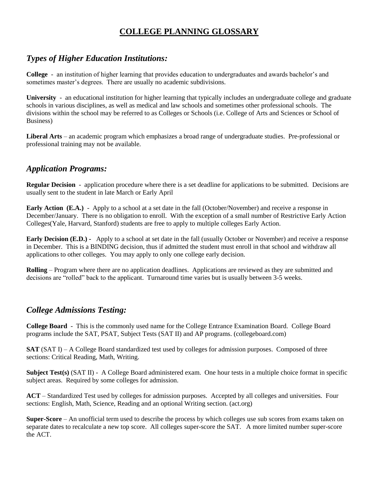# **COLLEGE PLANNING GLOSSARY**

## *Types of Higher Education Institutions:*

**College** - an institution of higher learning that provides education to undergraduates and awards bachelor's and sometimes master's degrees. There are usually no academic subdivisions.

**University** - an educational institution for higher learning that typically includes an undergraduate college and graduate schools in various disciplines, as well as medical and law schools and sometimes other professional schools. The divisions within the school may be referred to as Colleges or Schools (i.e. College of Arts and Sciences or School of Business)

**Liberal Arts** – an academic program which emphasizes a broad range of undergraduate studies. Pre-professional or professional training may not be available.

#### *Application Programs:*

**Regular Decision** - application procedure where there is a set deadline for applications to be submitted. Decisions are usually sent to the student in late March or Early April

**Early Action (E.A.)** - Apply to a school at a set date in the fall (October/November) and receive a response in December/January. There is no obligation to enroll. With the exception of a small number of Restrictive Early Action Colleges(Yale, Harvard, Stanford) students are free to apply to multiple colleges Early Action.

**Early Decision (E.D.) -** Apply to a school at set date in the fall (usually October or November) and receive a response in December. This is a BINDING decision, thus if admitted the student must enroll in that school and withdraw all applications to other colleges. You may apply to only one college early decision.

**Rolling** – Program where there are no application deadlines. Applications are reviewed as they are submitted and decisions are "rolled" back to the applicant. Turnaround time varies but is usually between 3-5 weeks.

#### *College Admissions Testing:*

**College Board** - This is the commonly used name for the College Entrance Examination Board. College Board programs include the SAT, PSAT, Subject Tests (SAT II) and AP programs. (collegeboard.com)

**SAT** (SAT I) – A College Board standardized test used by colleges for admission purposes. Composed of three sections: Critical Reading, Math, Writing.

**Subject Test(s)** (SAT II) - A College Board administered exam. One hour tests in a multiple choice format in specific subject areas. Required by some colleges for admission.

**ACT** – Standardized Test used by colleges for admission purposes. Accepted by all colleges and universities. Four sections: English, Math, Science, Reading and an optional Writing section. (act.org)

**Super-Score** – An unofficial term used to describe the process by which colleges use sub scores from exams taken on separate dates to recalculate a new top score. All colleges super-score the SAT. A more limited number super-score the ACT.